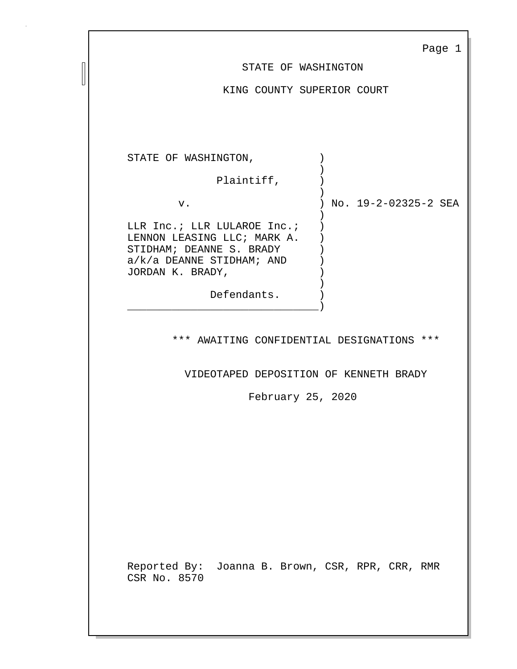|                                                                                                                                           | Page 1                            |  |  |
|-------------------------------------------------------------------------------------------------------------------------------------------|-----------------------------------|--|--|
| STATE OF WASHINGTON                                                                                                                       |                                   |  |  |
| KING COUNTY SUPERIOR COURT                                                                                                                |                                   |  |  |
| STATE OF WASHINGTON,                                                                                                                      |                                   |  |  |
| Plaintiff,                                                                                                                                |                                   |  |  |
| v.                                                                                                                                        | No. 19-2-02325-2 SEA<br>$\lambda$ |  |  |
| LLR Inc.; LLR LULAROE Inc.;<br>LENNON LEASING LLC; MARK A.<br>STIDHAM; DEANNE S. BRADY<br>$a/k/a$ DEANNE STIDHAM; AND<br>JORDAN K. BRADY, |                                   |  |  |
| Defendants.                                                                                                                               |                                   |  |  |
| *** AWAITING CONFIDENTIAL DESIGNATIONS ***                                                                                                |                                   |  |  |
| VIDEOTAPED DEPOSITION OF KENNETH BRADY                                                                                                    |                                   |  |  |
| February 25, 2020                                                                                                                         |                                   |  |  |
| Reported By: Joanna B. Brown, CSR, RPR, CRR, RMR<br>CSR No. 8570                                                                          |                                   |  |  |

П  $\mathsf{u}$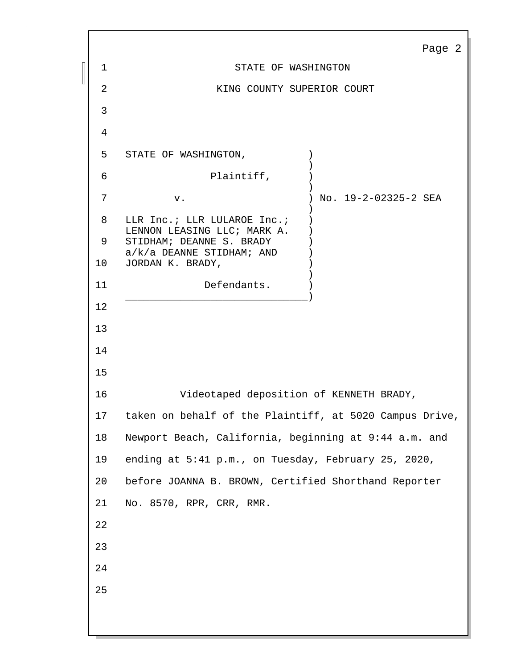|    | Page 2                                                  |  |  |  |  |
|----|---------------------------------------------------------|--|--|--|--|
| 1  | STATE OF WASHINGTON                                     |  |  |  |  |
| 2  | KING COUNTY SUPERIOR COURT                              |  |  |  |  |
| 3  |                                                         |  |  |  |  |
| 4  |                                                         |  |  |  |  |
| 5  | STATE OF WASHINGTON,                                    |  |  |  |  |
| 6  | Plaintiff,                                              |  |  |  |  |
| 7  | No. 19-2-02325-2 SEA<br>v.                              |  |  |  |  |
| 8  | LLR Inc.; LLR LULAROE Inc.;                             |  |  |  |  |
| 9  | LENNON LEASING LLC; MARK A.<br>STIDHAM; DEANNE S. BRADY |  |  |  |  |
| 10 | $a/k/a$ DEANNE STIDHAM; AND<br>JORDAN K. BRADY,         |  |  |  |  |
| 11 | Defendants.                                             |  |  |  |  |
| 12 |                                                         |  |  |  |  |
| 13 |                                                         |  |  |  |  |
| 14 |                                                         |  |  |  |  |
| 15 |                                                         |  |  |  |  |
| 16 | Videotaped deposition of KENNETH BRADY,                 |  |  |  |  |
| 17 | taken on behalf of the Plaintiff, at 5020 Campus Drive, |  |  |  |  |
| 18 | Newport Beach, California, beginning at 9:44 a.m. and   |  |  |  |  |
| 19 | ending at 5:41 p.m., on Tuesday, February 25, 2020,     |  |  |  |  |
| 20 | before JOANNA B. BROWN, Certified Shorthand Reporter    |  |  |  |  |
| 21 | No. 8570, RPR, CRR, RMR.                                |  |  |  |  |
| 22 |                                                         |  |  |  |  |
| 23 |                                                         |  |  |  |  |
| 24 |                                                         |  |  |  |  |
| 25 |                                                         |  |  |  |  |
|    |                                                         |  |  |  |  |
|    |                                                         |  |  |  |  |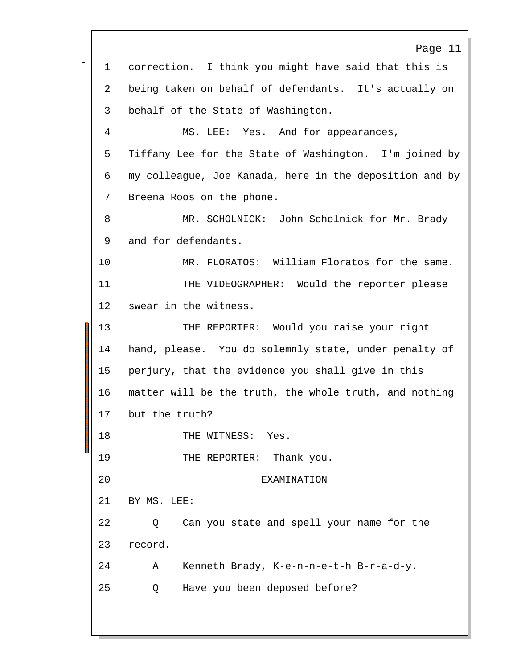Page 11 1 correction. I think you might have said that this is 2 being taken on behalf of defendants. It's actually on 3 behalf of the State of Washington. 4 MS. LEE: Yes. And for appearances, 5 Tiffany Lee for the State of Washington. I'm joined by 6 my colleague, Joe Kanada, here in the deposition and by 7 Breena Roos on the phone. 8 MR. SCHOLNICK: John Scholnick for Mr. Brady 9 and for defendants. 10 MR. FLORATOS: William Floratos for the same. 11 THE VIDEOGRAPHER: Would the reporter please 12 swear in the witness. 13 THE REPORTER: Would you raise your right 14 hand, please. You do solemnly state, under penalty of 15 perjury, that the evidence you shall give in this 16 matter will be the truth, the whole truth, and nothing 17 but the truth? 18 THE WITNESS: Yes. 19 THE REPORTER: Thank you. 20 EXAMINATION 21 BY MS. LEE: 22 Q Can you state and spell your name for the 23 record. 24 A Kenneth Brady, K-e-n-n-e-t-h B-r-a-d-y. 25 Q Have you been deposed before?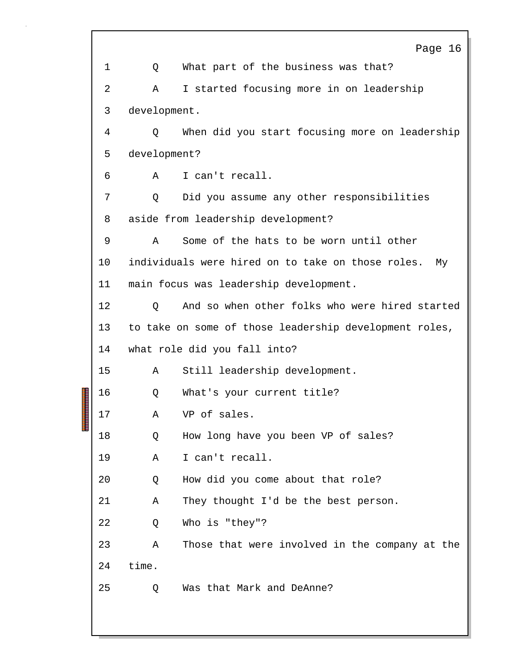Page 16 1 Q What part of the business was that? 2 A I started focusing more in on leadership 3 development. 4 Q When did you start focusing more on leadership 5 development? 6 A I can't recall. 7 Q Did you assume any other responsibilities 8 aside from leadership development? 9 A Some of the hats to be worn until other 10 individuals were hired on to take on those roles. My 11 main focus was leadership development. 12 Q And so when other folks who were hired started 13 to take on some of those leadership development roles, 14 what role did you fall into? 15 A Still leadership development. 16 Q What's your current title? 17 A VP of sales. 18 Q How long have you been VP of sales? 19 A I can't recall. 20 Q How did you come about that role? 21 A They thought I'd be the best person. 22 Q Who is "they"? 23 A Those that were involved in the company at the 24 time. 25 Q Was that Mark and DeAnne?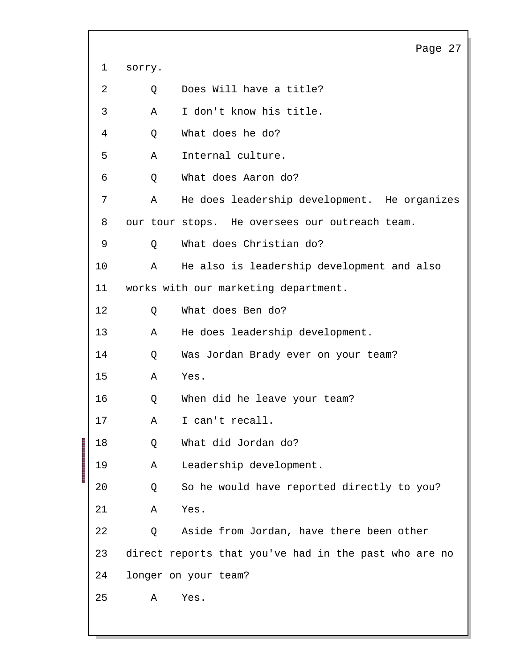|    |         | Page 27                                               |
|----|---------|-------------------------------------------------------|
| 1  | sorry.  |                                                       |
| 2  | Q       | Does Will have a title?                               |
| 3  | Α       | I don't know his title.                               |
| 4  | Q       | What does he do?                                      |
| 5  | A       | Internal culture.                                     |
| 6  | Q       | What does Aaron do?                                   |
| 7  | Α       | He does leadership development. He organizes          |
| 8  |         | our tour stops. He oversees our outreach team.        |
| 9  | $\circ$ | What does Christian do?                               |
| 10 | Α       | He also is leadership development and also            |
| 11 |         | works with our marketing department.                  |
| 12 | Q       | What does Ben do?                                     |
| 13 | A       | He does leadership development.                       |
| 14 | Q       | Was Jordan Brady ever on your team?                   |
| 15 | Α       | Yes.                                                  |
| 16 | Q       | When did he leave your team?                          |
| 17 | Α       | I can't recall.                                       |
| 18 | Q       | What did Jordan do?                                   |
| 19 | Α       | Leadership development.                               |
| 20 | Q       | So he would have reported directly to you?            |
| 21 | Α       | Yes.                                                  |
| 22 | Q       | Aside from Jordan, have there been other              |
| 23 |         | direct reports that you've had in the past who are no |
| 24 |         | longer on your team?                                  |
| 25 | Α       | Yes.                                                  |
|    |         |                                                       |

Ē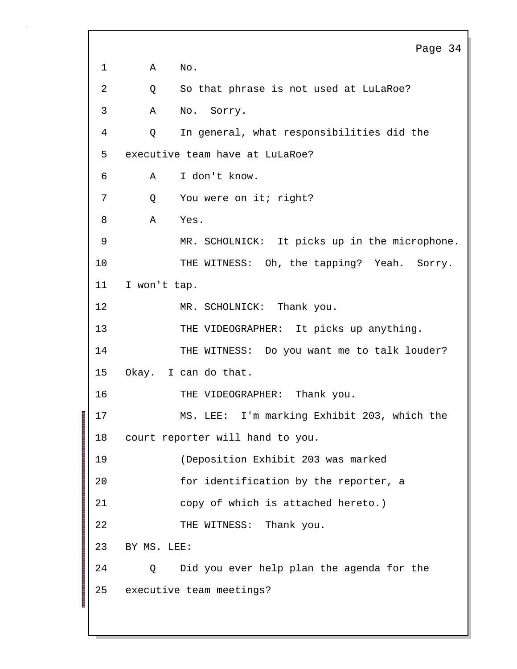```
Page 34
1 A No.
2 Q So that phrase is not used at LuLaRoe?
3 A No. Sorry.
4 Q In general, what responsibilities did the
5 executive team have at LuLaRoe?
6 A I don't know.
7 Q You were on it; right?
8 A Yes.
9 MR. SCHOLNICK: It picks up in the microphone.
10 THE WITNESS: Oh, the tapping? Yeah. Sorry.
11 I won't tap.
12 MR. SCHOLNICK: Thank you.
13 THE VIDEOGRAPHER: It picks up anything.
14 THE WITNESS: Do you want me to talk louder?
15 Okay. I can do that.
16 THE VIDEOGRAPHER: Thank you.
17 MS. LEE: I'm marking Exhibit 203, which the
18 court reporter will hand to you.
19 (Deposition Exhibit 203 was marked
20 for identification by the reporter, a
21 copy of which is attached hereto.)
22 THE WITNESS: Thank you.
23 BY MS. LEE:
24 Q Did you ever help plan the agenda for the
25 executive team meetings?
```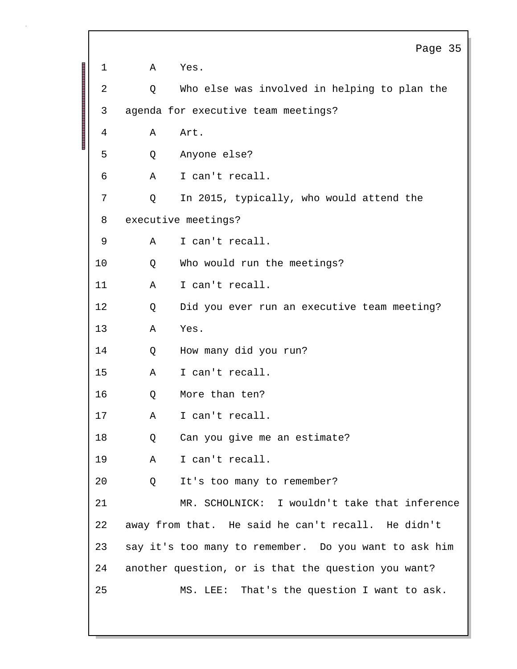Page 35 1 A Yes. 2 Q Who else was involved in helping to plan the 3 agenda for executive team meetings? 4 A Art. 5 Q Anyone else? 6 A I can't recall. 7 Q In 2015, typically, who would attend the 8 executive meetings? 9 A I can't recall. 10 Q Who would run the meetings? 11 A I can't recall. 12 Q Did you ever run an executive team meeting? 13 A Yes. 14 Q How many did you run? 15 A I can't recall. 16 0 More than ten? 17 A I can't recall. 18 Q Can you give me an estimate? 19 A I can't recall. 20 Q It's too many to remember? 21 MR. SCHOLNICK: I wouldn't take that inference 22 away from that. He said he can't recall. He didn't 23 say it's too many to remember. Do you want to ask him 24 another question, or is that the question you want? 25 MS. LEE: That's the question I want to ask.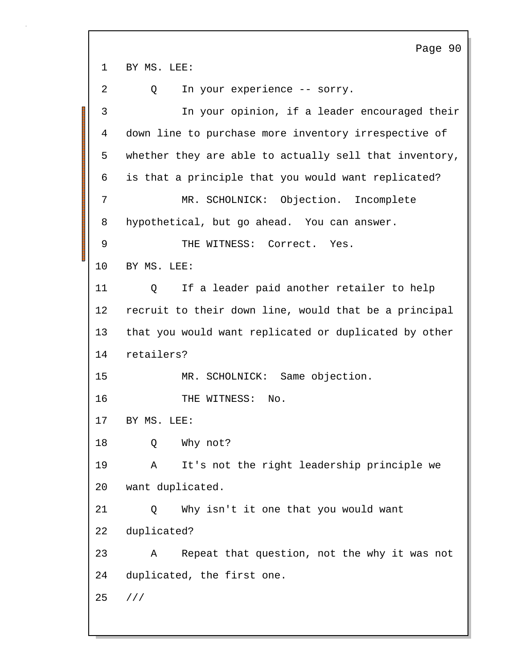Page 90 1 BY MS. LEE: 2 Q In your experience -- sorry. 3 In your opinion, if a leader encouraged their 4 down line to purchase more inventory irrespective of 5 whether they are able to actually sell that inventory, 6 is that a principle that you would want replicated? 7 MR. SCHOLNICK: Objection. Incomplete 8 hypothetical, but go ahead. You can answer. 9 THE WITNESS: Correct. Yes. 10 BY MS. LEE: 11 Q If a leader paid another retailer to help 12 recruit to their down line, would that be a principal 13 that you would want replicated or duplicated by other 14 retailers? 15 MR. SCHOLNICK: Same objection. 16 THE WITNESS: No. 17 BY MS. LEE: 18 O Why not? 19 A It's not the right leadership principle we 20 want duplicated. 21 Q Why isn't it one that you would want 22 duplicated? 23 A Repeat that question, not the why it was not 24 duplicated, the first one. 25 ///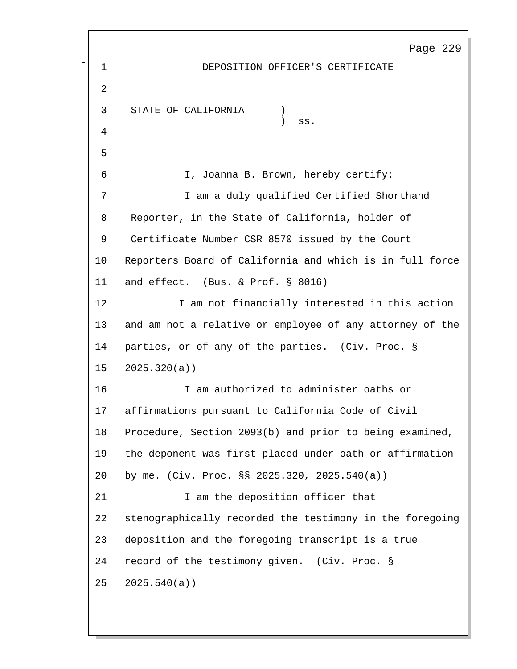Page 229 1 DEPOSITION OFFICER'S CERTIFICATE 2 3 STATE OF CALIFORNIA )  $\overline{\phantom{a}}$  ss. 4 5 6 I, Joanna B. Brown, hereby certify: 7 I am a duly qualified Certified Shorthand 8 Reporter, in the State of California, holder of 9 Certificate Number CSR 8570 issued by the Court 10 Reporters Board of California and which is in full force 11 and effect. (Bus. & Prof. § 8016) 12 I am not financially interested in this action 13 and am not a relative or employee of any attorney of the 14 parties, or of any of the parties. (Civ. Proc. § 15 2025.320(a)) 16 I am authorized to administer oaths or 17 affirmations pursuant to California Code of Civil 18 Procedure, Section 2093(b) and prior to being examined, 19 the deponent was first placed under oath or affirmation 20 by me. (Civ. Proc. §§ 2025.320, 2025.540(a)) 21 I am the deposition officer that 22 stenographically recorded the testimony in the foregoing 23 deposition and the foregoing transcript is a true 24 record of the testimony given. (Civ. Proc. § 25 2025.540(a))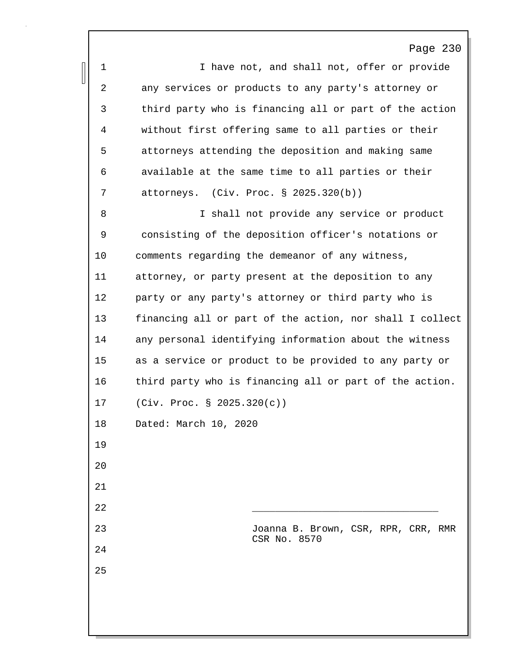Page 230 1 1 I have not, and shall not, offer or provide 2 any services or products to any party's attorney or 3 third party who is financing all or part of the action 4 without first offering same to all parties or their 5 attorneys attending the deposition and making same 6 available at the same time to all parties or their 7 attorneys. (Civ. Proc. § 2025.320(b)) 8 I shall not provide any service or product 9 consisting of the deposition officer's notations or 10 comments regarding the demeanor of any witness, 11 attorney, or party present at the deposition to any 12 party or any party's attorney or third party who is 13 financing all or part of the action, nor shall I collect 14 any personal identifying information about the witness 15 as a service or product to be provided to any party or 16 third party who is financing all or part of the action. 17 (Civ. Proc. § 2025.320(c)) 18 Dated: March 10, 2020 19 20 21 22 \_\_\_\_\_\_\_\_\_\_\_\_\_\_\_\_\_\_\_\_\_\_\_\_\_\_\_\_\_\_\_\_ 23 Joanna B. Brown, CSR, RPR, CRR, RMR CSR No. 8570 24 25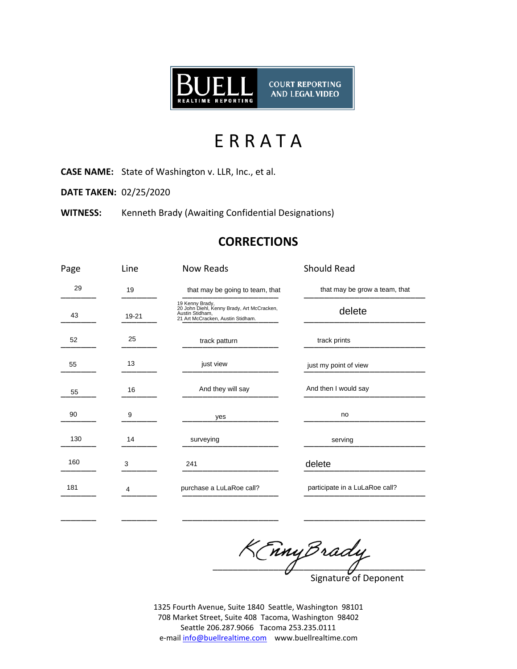

## **E R R A T A**

**CASE NAME:** State of Washington v. LLR, Inc., et al.

**DATE TAKEN:** 02/25/2020

**WITNESS:** Kenneth Brady (Awaiting Confidential Designations)

## **CORRECTIONS**

| Page | Line  | <b>Now Reads</b>                                                                                                      | Should Read                   |  |
|------|-------|-----------------------------------------------------------------------------------------------------------------------|-------------------------------|--|
| 29   | 19    | that may be going to team, that                                                                                       | that may be grow a team, that |  |
| 43   | 19-21 | 19 Kenny Brady,<br>20 John Diehl, Kenny Brady, Art McCracken,<br>Austin Stidham,<br>21 Art McCracken, Austin Stidham. | delete                        |  |
| 52   | 25    | track prints<br>track patturn                                                                                         |                               |  |
| 55   | 13    | just view                                                                                                             | just my point of view         |  |
| 55   | 16    | And they will say                                                                                                     | And then I would say          |  |
| 90   | 9     | yes                                                                                                                   | no                            |  |
| 130  | 14    | surveying                                                                                                             | serving                       |  |
| 160  | 3     | delete<br>241                                                                                                         |                               |  |
| 181  | 4     | participate in a LuLaRoe call?<br>purchase a LuLaRoe call?                                                            |                               |  |

\_\_\_\_\_\_\_ \_\_\_\_\_\_\_ \_\_\_\_\_\_\_\_\_\_\_\_\_\_\_\_\_\_\_ \_\_\_\_\_\_\_\_\_\_\_\_\_\_\_\_\_\_\_\_\_\_\_\_

KEnny Brady

Signature of Deponent

1325 Fourth Avenue, Suite 1840 Seattle, Washington 98101 708 Market Street, Suite 408 Tacoma, Washington 98402 Seattle 206.287.9066 Tacoma 253.235.0111 e-mail info@buellrealtime.com www.buellrealtime.com